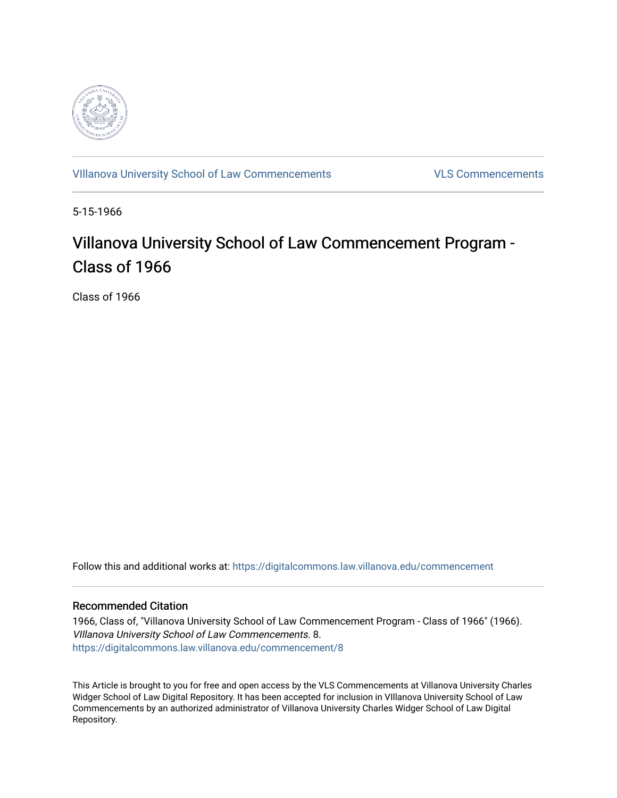

[VIllanova University School of Law Commencements](https://digitalcommons.law.villanova.edu/commencement) [VLS Commencements](https://digitalcommons.law.villanova.edu/vlscommencements) 

5-15-1966

# Villanova University School of Law Commencement Program -Class of 1966

Class of 1966

Follow this and additional works at: [https://digitalcommons.law.villanova.edu/commencement](https://digitalcommons.law.villanova.edu/commencement?utm_source=digitalcommons.law.villanova.edu%2Fcommencement%2F8&utm_medium=PDF&utm_campaign=PDFCoverPages)

#### Recommended Citation

1966, Class of, "Villanova University School of Law Commencement Program - Class of 1966" (1966). VIllanova University School of Law Commencements. 8. [https://digitalcommons.law.villanova.edu/commencement/8](https://digitalcommons.law.villanova.edu/commencement/8?utm_source=digitalcommons.law.villanova.edu%2Fcommencement%2F8&utm_medium=PDF&utm_campaign=PDFCoverPages) 

This Article is brought to you for free and open access by the VLS Commencements at Villanova University Charles Widger School of Law Digital Repository. It has been accepted for inclusion in VIllanova University School of Law Commencements by an authorized administrator of Villanova University Charles Widger School of Law Digital Repository.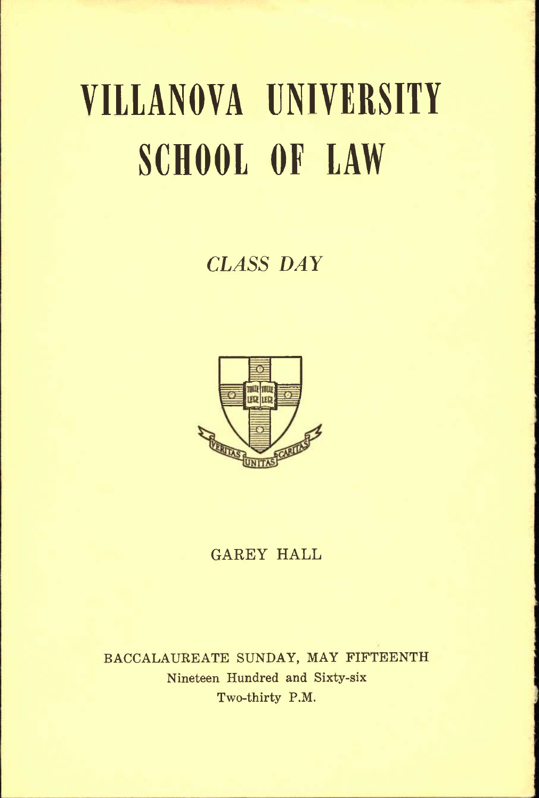# VILLANOVA UNIVERSITY SCHOOL OF LAW

# *CLASS DAY*



### **GAREY HALL**

**BACCALAUREATE SUNDAY, MAY FIFTEENTH Nineteen Hundred and Sixty-six Two-thirty P.M.**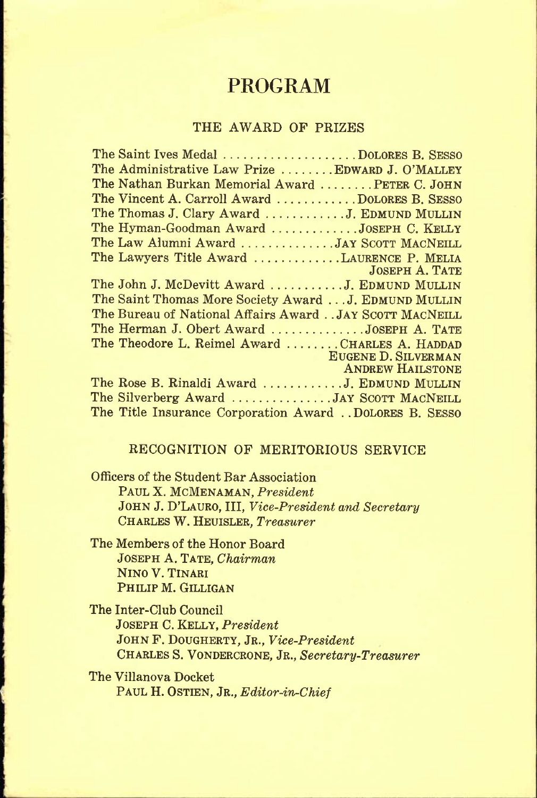## **PROGRAM**

#### **THE AWARD OF PRIZES**

#### **RECOGNITION OF MERITORIOUS SERVICE**

**Officers of the Student Bar Association PAUL X. MCMENAMAN,** *President*  **JOHN J. D'LAURO, III,** *Vice-President and Secretary*  **CHARLES W. HEUISLER,** *Treasurer* 

**The Members of the Honor Board JOSEPH A. TATE,** *Chairman*  **NINO V. TINARI PHILIP M. GILLIGAN** 

**The Inter-Club Council JOSEPH C. KELLY,** *President*  **JOHN F. DOUGHERTY, JR.,** *Vice-President*  **CHARLES S. VONDERCRONE, JR.,** *Secretary-Treasurer* 

**The Villanova Docket PAUL H. OSTIEN, JR.,** *Editor-in-Chief*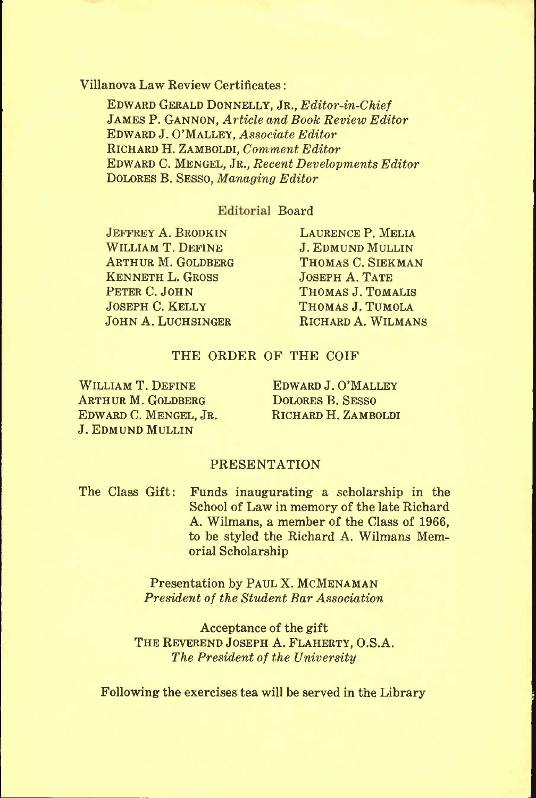#### **Villanova Law Review Certificates:**

**EDWARD GERALD DONNELLY, JR.,** *Editor-in-Chief*  **JAMES P. GANNON,** *Article and Book Review Editor*  **EDWARD J. O'MALLEY,** *Associate Editor*  **RICHARD H. ZAMBOLDI,** *Comment Editor*  **EDWARD C. MENGEL, JR.,** *Recent Developments Editor*  **DOLORES B. SESSO,** *Managing Editor* 

#### **Editorial Board**

**JEFFREY A. BRODKIN WILLIAM T. DEFINE ARTHUR M. GOLDBERG KENNETH L. GROSS PETER C. JOHN JOSEPH C. KELLY JOHN A. LUCHSINGER**  **LAURENCE P. MELIA J. EDMUND MULLIN THOMAS C. SIEKMAN JOSEPH A. TATE THOMAS J. TOMALIS THOMAS J. TUMOLA RICHARD A. WILMANS** 

#### **THE ORDER OF THE COIF**

**WILLIAM T. DEFINE ARTHUR M. GOLDBERG EDWARD C. MENGEL, JR. J. EDMUND MULLIN** 

**EDWARD J. O'MALLEY DOLORES B. SESSO RICHARD H. ZAMBOLDI** 

#### **PRESENTATION**

**The Class Gift: Funds inaugurating- a scholarship in the School of Law in memory of the late Richard A. Wilmans, a member of the Class of 1966, to be styled the Richard A. Wilmans Memorial Scholarship** 

> **Presentation by PAUL X. MCMENAMAN**  *President of the Sttident Bar Association*

**Acceptance of the gift THE REVEREND JOSEPH A. FLAHERTY, O.S.A.**  *The President of the University* 

**Following the exercises tea will be served in the Library**